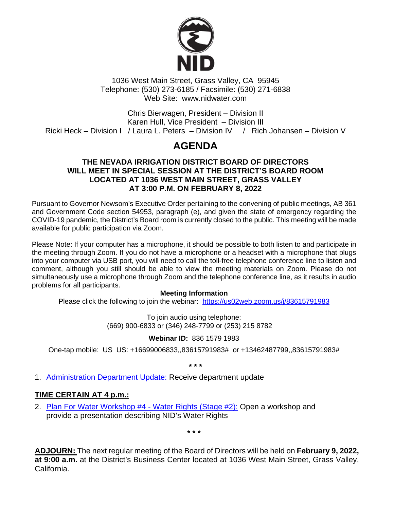

1036 West Main Street, Grass Valley, CA 95945 Telephone: (530) 273-6185 / Facsimile: (530) 271-6838 Web Site: www.nidwater.com

Chris Bierwagen, President – Division II Karen Hull, Vice President – Division III Ricki Heck – Division I / Laura L. Peters – Division IV / Rich Johansen – Division V

# **AGENDA**

### **THE NEVADA IRRIGATION DISTRICT BOARD OF DIRECTORS WILL MEET IN SPECIAL SESSION AT THE DISTRICT'S BOARD ROOM LOCATED AT 1036 WEST MAIN STREET, GRASS VALLEY AT 3:00 P.M. ON FEBRUARY 8, 2022**

Pursuant to Governor Newsom's Executive Order pertaining to the convening of public meetings, AB 361 and Government Code section 54953, paragraph (e), and given the state of emergency regarding the COVID-19 pandemic, the District's Board room is currently closed to the public. This meeting will be made available for public participation via Zoom.

Please Note: If your computer has a microphone, it should be possible to both listen to and participate in the meeting through Zoom. If you do not have a microphone or a headset with a microphone that plugs into your computer via USB port, you will need to call the toll-free telephone conference line to listen and comment, although you still should be able to view the meeting materials on Zoom. Please do not simultaneously use a microphone through Zoom and the telephone conference line, as it results in audio problems for all participants.

### **Meeting Information**

Please click the following to join the webinar: <https://us02web.zoom.us/j/83615791983>

To join audio using telephone: (669) 900-6833 or (346) 248-7799 or (253) 215 8782

### **Webinar ID:** 836 1579 1983

One-tap mobile: US US: +16699006833,,83615791983# or +13462487799,,83615791983#

**\* \* \***

1. Administration [Department Update:](https://nidwater.specialdistrict.org/files/8757b3c26/02082022_BOD_Item_1.pdf) Receive department update

## **TIME CERTAIN AT 4 p.m.:**

2. [Plan For Water Workshop #4](https://nidwater.specialdistrict.org/files/a5491c1ac/02082022_BOD_Item_2.pdf) - Water Rights (Stage #2): Open a workshop and provide a presentation describing NID's Water Rights

**\* \* \***

**ADJOURN:** The next regular meeting of the Board of Directors will be held on **February 9, 2022, at 9:00 a.m.** at the District's Business Center located at 1036 West Main Street, Grass Valley, California.